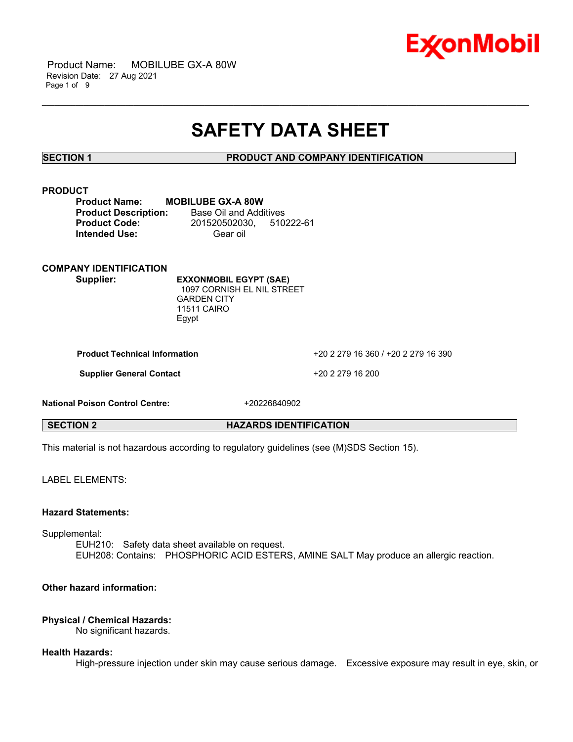

 Product Name: MOBILUBE GX-A 80W Revision Date: 27 Aug 2021 Page 1 of 9

## **SAFETY DATA SHEET**

\_\_\_\_\_\_\_\_\_\_\_\_\_\_\_\_\_\_\_\_\_\_\_\_\_\_\_\_\_\_\_\_\_\_\_\_\_\_\_\_\_\_\_\_\_\_\_\_\_\_\_\_\_\_\_\_\_\_\_\_\_\_\_\_\_\_\_\_\_\_\_\_\_\_\_\_\_\_\_\_\_\_\_\_\_\_\_\_\_\_\_\_\_\_\_\_\_\_\_\_\_\_\_\_\_\_\_\_\_\_\_\_\_\_\_\_\_

**SECTION 1 PRODUCT AND COMPANY IDENTIFICATION**

#### **PRODUCT**

| <b>Product Name:</b>        | <b>MOBILUBE GX-A 80W</b> |           |
|-----------------------------|--------------------------|-----------|
| <b>Product Description:</b> | Base Oil and Additives   |           |
| <b>Product Code:</b>        | 201520502030,            | 510222-61 |
| <b>Intended Use:</b>        | Gear oil                 |           |

**COMPANY IDENTIFICATION**

**Supplier: EXXONMOBIL EGYPT (SAE)** 1097 CORNISH EL NIL STREET GARDEN CITY 11511 CAIRO Egypt

**Product Technical Information** +20 2 279 16 360 / +20 2 279 16 390

**Supplier General Contact** +20 2 279 16 200

**National Poison Control Centre:** +20226840902

**SECTION 2 HAZARDS IDENTIFICATION**

This material is not hazardous according to regulatory guidelines (see (M)SDS Section 15).

LABEL ELEMENTS:

#### **Hazard Statements:**

Supplemental:

EUH210: Safety data sheet available on request. EUH208: Contains: PHOSPHORIC ACID ESTERS, AMINE SALT May produce an allergic reaction.

### **Other hazard information:**

#### **Physical / Chemical Hazards:**

No significant hazards.

#### **Health Hazards:**

High-pressure injection under skin may cause serious damage. Excessive exposure may result in eye, skin, or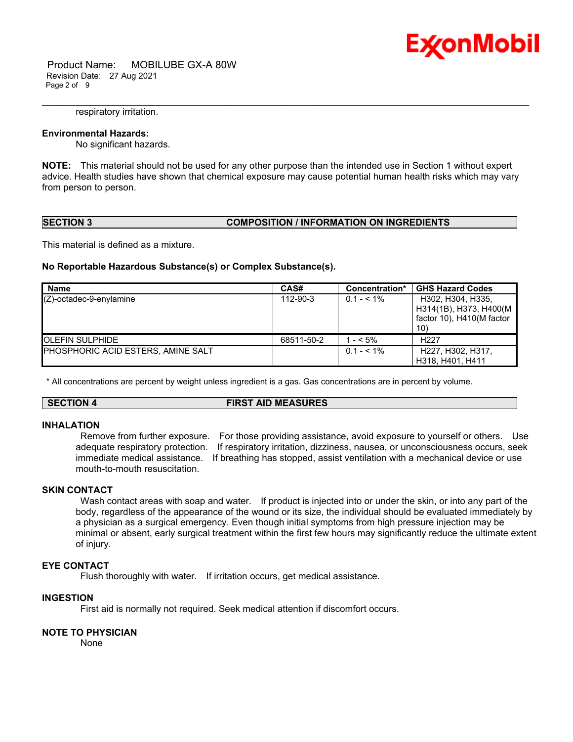

 Product Name: MOBILUBE GX-A 80W Revision Date: 27 Aug 2021 Page 2 of 9

#### respiratory irritation.

#### **Environmental Hazards:**

No significant hazards.

**NOTE:** This material should not be used for any other purpose than the intended use in Section 1 without expert advice. Health studies have shown that chemical exposure may cause potential human health risks which may vary from person to person.

\_\_\_\_\_\_\_\_\_\_\_\_\_\_\_\_\_\_\_\_\_\_\_\_\_\_\_\_\_\_\_\_\_\_\_\_\_\_\_\_\_\_\_\_\_\_\_\_\_\_\_\_\_\_\_\_\_\_\_\_\_\_\_\_\_\_\_\_\_\_\_\_\_\_\_\_\_\_\_\_\_\_\_\_\_\_\_\_\_\_\_\_\_\_\_\_\_\_\_\_\_\_\_\_\_\_\_\_\_\_\_\_\_\_\_\_\_

#### **SECTION 3 COMPOSITION / INFORMATION ON INGREDIENTS**

This material is defined as a mixture.

#### **No Reportable Hazardous Substance(s) or Complex Substance(s).**

| Name                               | CAS#       | GHS Hazard Codes<br>Concentration* |                                                                                 |
|------------------------------------|------------|------------------------------------|---------------------------------------------------------------------------------|
| $(Z)$ -octadec-9-enylamine         | 112-90-3   | $0.1 - 5.1\%$                      | H302, H304, H335,<br>H314(1B), H373, H400(M<br>factor 10), H410(M factor<br>10) |
| <b>IOLEFIN SULPHIDE</b>            | 68511-50-2 | $-5\%$                             | H <sub>22</sub> 7                                                               |
| PHOSPHORIC ACID ESTERS, AMINE SALT |            | $0.1 - 5.1\%$                      | H227, H302, H317,<br>H318, H401, H411                                           |

\* All concentrations are percent by weight unless ingredient is a gas. Gas concentrations are in percent by volume.

#### **SECTION 4 FIRST AID MEASURES**

#### **INHALATION**

Remove from further exposure. For those providing assistance, avoid exposure to yourself or others. Use adequate respiratory protection. If respiratory irritation, dizziness, nausea, or unconsciousness occurs, seek immediate medical assistance. If breathing has stopped, assist ventilation with a mechanical device or use mouth-to-mouth resuscitation.

#### **SKIN CONTACT**

Wash contact areas with soap and water. If product is injected into or under the skin, or into any part of the body, regardless of the appearance of the wound or its size, the individual should be evaluated immediately by a physician as a surgical emergency. Even though initial symptoms from high pressure injection may be minimal or absent, early surgical treatment within the first few hours may significantly reduce the ultimate extent of injury.

#### **EYE CONTACT**

Flush thoroughly with water. If irritation occurs, get medical assistance.

### **INGESTION**

First aid is normally not required. Seek medical attention if discomfort occurs.

#### **NOTE TO PHYSICIAN**

None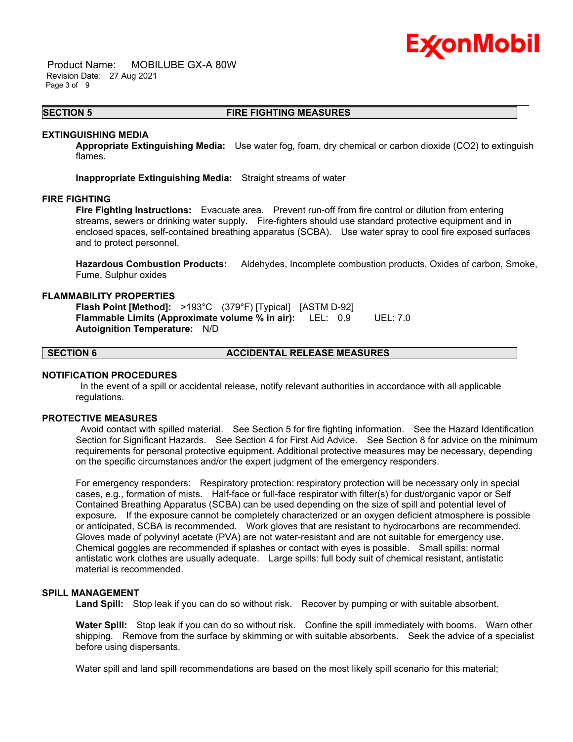# Ex⁄onMobil

 Product Name: MOBILUBE GX-A 80W Revision Date: 27 Aug 2021 Page 3 of 9

#### \_\_\_\_\_\_\_\_\_\_\_\_\_\_\_\_\_\_\_\_\_\_\_\_\_\_\_\_\_\_\_\_\_\_\_\_\_\_\_\_\_\_\_\_\_\_\_\_\_\_\_\_\_\_\_\_\_\_\_\_\_\_\_\_\_\_\_\_\_\_\_\_\_\_\_\_\_\_\_\_\_\_\_\_\_\_\_\_\_\_\_\_\_\_\_\_\_\_\_\_\_\_\_\_\_\_\_\_\_\_\_\_\_\_\_\_\_ **SECTION 5 FIRE FIGHTING MEASURES**

#### **EXTINGUISHING MEDIA**

**Appropriate Extinguishing Media:** Use water fog, foam, dry chemical or carbon dioxide (CO2) to extinguish flames.

**Inappropriate Extinguishing Media:** Straight streams of water

### **FIRE FIGHTING**

**Fire Fighting Instructions:** Evacuate area. Prevent run-off from fire control or dilution from entering streams, sewers or drinking water supply. Fire-fighters should use standard protective equipment and in enclosed spaces, self-contained breathing apparatus (SCBA). Use water spray to cool fire exposed surfaces and to protect personnel.

**Hazardous Combustion Products:** Aldehydes, Incomplete combustion products, Oxides of carbon, Smoke, Fume, Sulphur oxides

#### **FLAMMABILITY PROPERTIES**

**Flash Point [Method]:** >193°C (379°F) [Typical] [ASTM D-92] **Flammable Limits (Approximate volume % in air):** LEL: 0.9 UEL: 7.0 **Autoignition Temperature:** N/D

### **SECTION 6 ACCIDENTAL RELEASE MEASURES**

#### **NOTIFICATION PROCEDURES**

In the event of a spill or accidental release, notify relevant authorities in accordance with all applicable regulations.

#### **PROTECTIVE MEASURES**

Avoid contact with spilled material. See Section 5 for fire fighting information. See the Hazard Identification Section for Significant Hazards. See Section 4 for First Aid Advice. See Section 8 for advice on the minimum requirements for personal protective equipment. Additional protective measures may be necessary, depending on the specific circumstances and/or the expert judgment of the emergency responders.

For emergency responders: Respiratory protection: respiratory protection will be necessary only in special cases, e.g., formation of mists. Half-face or full-face respirator with filter(s) for dust/organic vapor or Self Contained Breathing Apparatus (SCBA) can be used depending on the size of spill and potential level of exposure. If the exposure cannot be completely characterized or an oxygen deficient atmosphere is possible or anticipated, SCBA is recommended. Work gloves that are resistant to hydrocarbons are recommended. Gloves made of polyvinyl acetate (PVA) are not water-resistant and are not suitable for emergency use. Chemical goggles are recommended if splashes or contact with eyes is possible. Small spills: normal antistatic work clothes are usually adequate. Large spills: full body suit of chemical resistant, antistatic material is recommended.

#### **SPILL MANAGEMENT**

**Land Spill:** Stop leak if you can do so without risk. Recover by pumping or with suitable absorbent.

**Water Spill:** Stop leak if you can do so without risk. Confine the spill immediately with booms. Warn other shipping. Remove from the surface by skimming or with suitable absorbents. Seek the advice of a specialist before using dispersants.

Water spill and land spill recommendations are based on the most likely spill scenario for this material;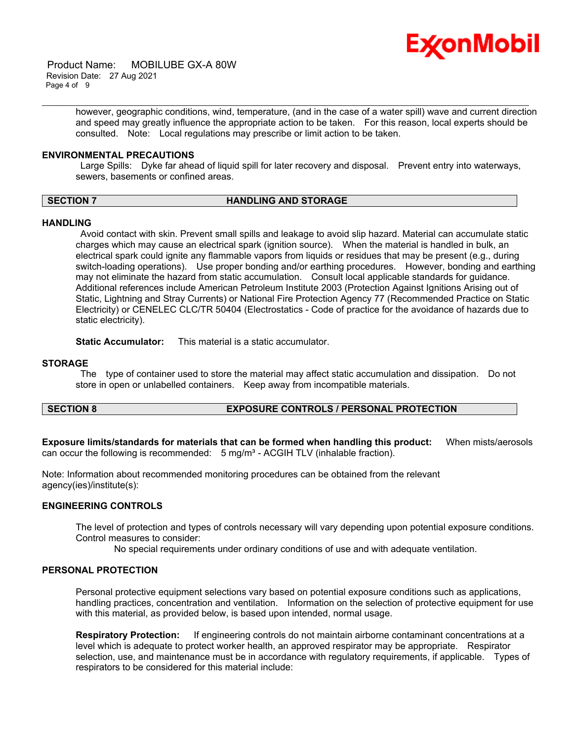

 Product Name: MOBILUBE GX-A 80W Revision Date: 27 Aug 2021 Page 4 of 9

> however, geographic conditions, wind, temperature, (and in the case of a water spill) wave and current direction and speed may greatly influence the appropriate action to be taken. For this reason, local experts should be consulted. Note: Local regulations may prescribe or limit action to be taken.

\_\_\_\_\_\_\_\_\_\_\_\_\_\_\_\_\_\_\_\_\_\_\_\_\_\_\_\_\_\_\_\_\_\_\_\_\_\_\_\_\_\_\_\_\_\_\_\_\_\_\_\_\_\_\_\_\_\_\_\_\_\_\_\_\_\_\_\_\_\_\_\_\_\_\_\_\_\_\_\_\_\_\_\_\_\_\_\_\_\_\_\_\_\_\_\_\_\_\_\_\_\_\_\_\_\_\_\_\_\_\_\_\_\_\_\_\_

#### **ENVIRONMENTAL PRECAUTIONS**

Large Spills: Dyke far ahead of liquid spill for later recovery and disposal. Prevent entry into waterways, sewers, basements or confined areas.

### **SECTION 7 HANDLING AND STORAGE**

#### **HANDLING**

Avoid contact with skin. Prevent small spills and leakage to avoid slip hazard. Material can accumulate static charges which may cause an electrical spark (ignition source). When the material is handled in bulk, an electrical spark could ignite any flammable vapors from liquids or residues that may be present (e.g., during switch-loading operations). Use proper bonding and/or earthing procedures. However, bonding and earthing may not eliminate the hazard from static accumulation. Consult local applicable standards for guidance. Additional references include American Petroleum Institute 2003 (Protection Against Ignitions Arising out of Static, Lightning and Stray Currents) or National Fire Protection Agency 77 (Recommended Practice on Static Electricity) or CENELEC CLC/TR 50404 (Electrostatics - Code of practice for the avoidance of hazards due to static electricity).

**Static Accumulator:** This material is a static accumulator.

#### **STORAGE**

The type of container used to store the material may affect static accumulation and dissipation. Do not store in open or unlabelled containers. Keep away from incompatible materials.

### **SECTION 8 EXPOSURE CONTROLS / PERSONAL PROTECTION**

**Exposure limits/standards for materials that can be formed when handling this product:** When mists/aerosols can occur the following is recommended:  $5 \text{ mg/m}^3$  - ACGIH TLV (inhalable fraction).

Note: Information about recommended monitoring procedures can be obtained from the relevant agency(ies)/institute(s):

#### **ENGINEERING CONTROLS**

The level of protection and types of controls necessary will vary depending upon potential exposure conditions. Control measures to consider:

No special requirements under ordinary conditions of use and with adequate ventilation.

#### **PERSONAL PROTECTION**

Personal protective equipment selections vary based on potential exposure conditions such as applications, handling practices, concentration and ventilation. Information on the selection of protective equipment for use with this material, as provided below, is based upon intended, normal usage.

**Respiratory Protection:** If engineering controls do not maintain airborne contaminant concentrations at a level which is adequate to protect worker health, an approved respirator may be appropriate. Respirator selection, use, and maintenance must be in accordance with regulatory requirements, if applicable. Types of respirators to be considered for this material include: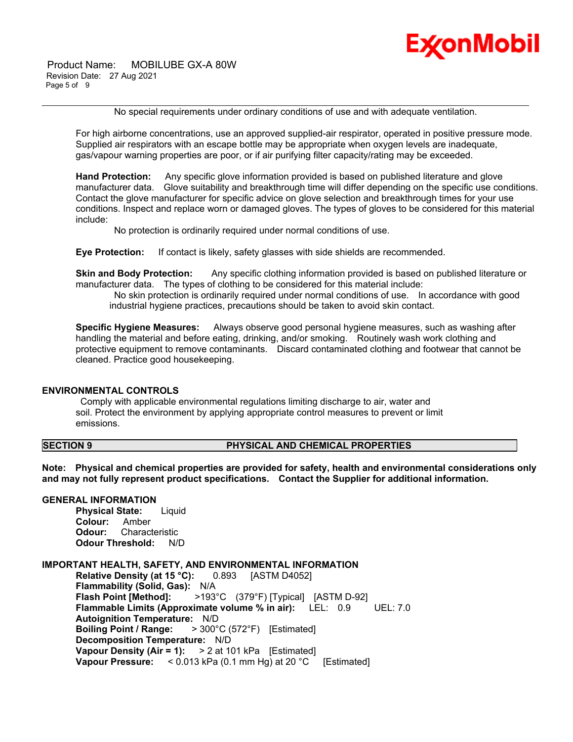Product Name: MOBILUBE GX-A 80W Revision Date: 27 Aug 2021 Page 5 of 9



No special requirements under ordinary conditions of use and with adequate ventilation.

\_\_\_\_\_\_\_\_\_\_\_\_\_\_\_\_\_\_\_\_\_\_\_\_\_\_\_\_\_\_\_\_\_\_\_\_\_\_\_\_\_\_\_\_\_\_\_\_\_\_\_\_\_\_\_\_\_\_\_\_\_\_\_\_\_\_\_\_\_\_\_\_\_\_\_\_\_\_\_\_\_\_\_\_\_\_\_\_\_\_\_\_\_\_\_\_\_\_\_\_\_\_\_\_\_\_\_\_\_\_\_\_\_\_\_\_\_

For high airborne concentrations, use an approved supplied-air respirator, operated in positive pressure mode. Supplied air respirators with an escape bottle may be appropriate when oxygen levels are inadequate, gas/vapour warning properties are poor, or if air purifying filter capacity/rating may be exceeded.

**Hand Protection:** Any specific glove information provided is based on published literature and glove manufacturer data. Glove suitability and breakthrough time will differ depending on the specific use conditions. Contact the glove manufacturer for specific advice on glove selection and breakthrough times for your use conditions. Inspect and replace worn or damaged gloves. The types of gloves to be considered for this material include:

No protection is ordinarily required under normal conditions of use.

**Eye Protection:** If contact is likely, safety glasses with side shields are recommended.

**Skin and Body Protection:** Any specific clothing information provided is based on published literature or manufacturer data. The types of clothing to be considered for this material include:

No skin protection is ordinarily required under normal conditions of use. In accordance with good industrial hygiene practices, precautions should be taken to avoid skin contact.

**Specific Hygiene Measures:** Always observe good personal hygiene measures, such as washing after handling the material and before eating, drinking, and/or smoking. Routinely wash work clothing and protective equipment to remove contaminants. Discard contaminated clothing and footwear that cannot be cleaned. Practice good housekeeping.

#### **ENVIRONMENTAL CONTROLS**

Comply with applicable environmental regulations limiting discharge to air, water and soil. Protect the environment by applying appropriate control measures to prevent or limit emissions.

#### **SECTION 9 PHYSICAL AND CHEMICAL PROPERTIES**

**Note: Physical and chemical properties are provided for safety, health and environmental considerations only and may not fully represent product specifications. Contact the Supplier for additional information.**

#### **GENERAL INFORMATION**

**Physical State:** Liquid **Colour:** Amber **Odour:** Characteristic **Odour Threshold:** N/D

#### **IMPORTANT HEALTH, SAFETY, AND ENVIRONMENTAL INFORMATION**

**Relative Density (at 15 °C):** 0.893 [ASTM D4052] **Flammability (Solid, Gas):** N/A **Flash Point [Method]:** >193°C (379°F) [Typical] [ASTM D-92] **Flammable Limits (Approximate volume % in air):** LEL: 0.9 UEL: 7.0 **Autoignition Temperature:** N/D **Boiling Point / Range:** > 300°C (572°F) [Estimated] **Decomposition Temperature:** N/D **Vapour Density (Air = 1):** > 2 at 101 kPa [Estimated] **Vapour Pressure:** < 0.013 kPa (0.1 mm Hg) at 20 °C [Estimated]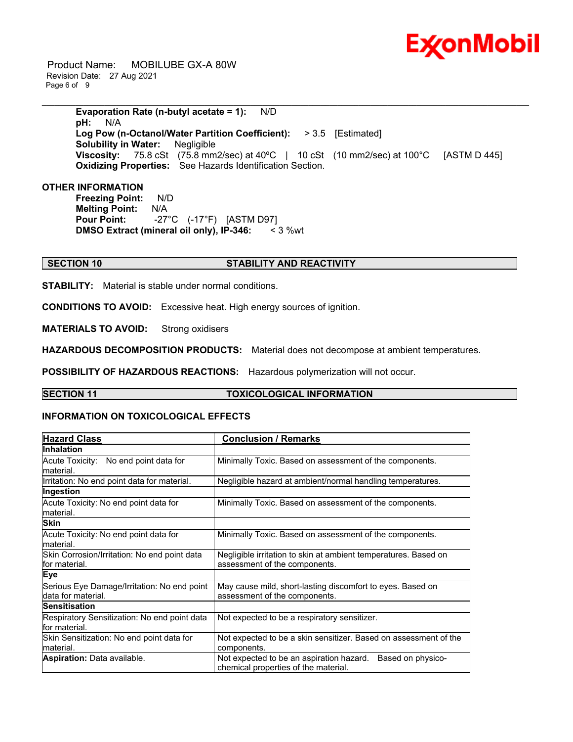

 Product Name: MOBILUBE GX-A 80W Revision Date: 27 Aug 2021 Page 6 of 9

\_\_\_\_\_\_\_\_\_\_\_\_\_\_\_\_\_\_\_\_\_\_\_\_\_\_\_\_\_\_\_\_\_\_\_\_\_\_\_\_\_\_\_\_\_\_\_\_\_\_\_\_\_\_\_\_\_\_\_\_\_\_\_\_\_\_\_\_\_\_\_\_\_\_\_\_\_\_\_\_\_\_\_\_\_\_\_\_\_\_\_\_\_\_\_\_\_\_\_\_\_\_\_\_\_\_\_\_\_\_\_\_\_\_\_\_\_ **Evaporation Rate (n-butyl acetate = 1):** N/D **pH:** N/A **Log Pow (n-Octanol/Water Partition Coefficient):** > 3.5 [Estimated] **Solubility in Water:** Negligible **Viscosity:** 75.8 cSt (75.8 mm2/sec) at 40°C | 10 cSt (10 mm2/sec) at 100°C [ASTM D 445] **Oxidizing Properties:** See Hazards Identification Section.

#### **OTHER INFORMATION**

**Freezing Point:** N/D **Melting Point:** N/A **Pour Point:** -27°C (-17°F) [ASTM D97] **DMSO Extract (mineral oil only), IP-346:** < 3 %wt

#### **SECTION 10 STABILITY AND REACTIVITY**

**STABILITY:** Material is stable under normal conditions.

**CONDITIONS TO AVOID:** Excessive heat. High energy sources of ignition.

**MATERIALS TO AVOID:** Strong oxidisers

**HAZARDOUS DECOMPOSITION PRODUCTS:** Material does not decompose at ambient temperatures.

**POSSIBILITY OF HAZARDOUS REACTIONS:** Hazardous polymerization will not occur.

#### **SECTION 11 TOXICOLOGICAL INFORMATION**

#### **INFORMATION ON TOXICOLOGICAL EFFECTS**

| <b>Hazard Class</b>                                               | <b>Conclusion / Remarks</b>                                                                           |
|-------------------------------------------------------------------|-------------------------------------------------------------------------------------------------------|
| <b>Inhalation</b>                                                 |                                                                                                       |
| Acute Toxicity: No end point data for<br>lmaterial.               | Minimally Toxic. Based on assessment of the components.                                               |
| Irritation: No end point data for material.                       | Negligible hazard at ambient/normal handling temperatures.                                            |
| Ingestion                                                         |                                                                                                       |
| Acute Toxicity: No end point data for<br>lmaterial.               | Minimally Toxic. Based on assessment of the components.                                               |
| <b>Skin</b>                                                       |                                                                                                       |
| Acute Toxicity: No end point data for<br>lmaterial.               | Minimally Toxic. Based on assessment of the components.                                               |
| Skin Corrosion/Irritation: No end point data<br>for material.     | Negligible irritation to skin at ambient temperatures. Based on<br>assessment of the components.      |
| <b>Eye</b>                                                        |                                                                                                       |
| Serious Eye Damage/Irritation: No end point<br>data for material. | May cause mild, short-lasting discomfort to eyes. Based on<br>assessment of the components.           |
| <b>Sensitisation</b>                                              |                                                                                                       |
| Respiratory Sensitization: No end point data<br>lfor material.    | Not expected to be a respiratory sensitizer.                                                          |
| Skin Sensitization: No end point data for<br>lmaterial.           | Not expected to be a skin sensitizer. Based on assessment of the<br>components.                       |
| <b>Aspiration: Data available.</b>                                | Based on physico-<br>Not expected to be an aspiration hazard.<br>chemical properties of the material. |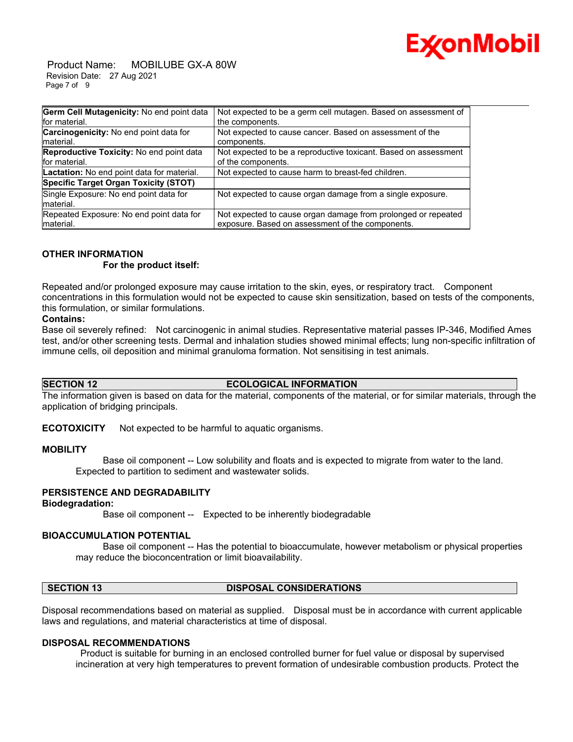

 Product Name: MOBILUBE GX-A 80W Revision Date: 27 Aug 2021 Page 7 of 9

| Germ Cell Mutagenicity: No end point data  | Not expected to be a germ cell mutagen. Based on assessment of  |
|--------------------------------------------|-----------------------------------------------------------------|
| for material.                              | the components.                                                 |
| Carcinogenicity: No end point data for     | Not expected to cause cancer. Based on assessment of the        |
| Imaterial.                                 | components.                                                     |
| Reproductive Toxicity: No end point data   | Not expected to be a reproductive toxicant. Based on assessment |
| for material.                              | of the components.                                              |
| Lactation: No end point data for material. | Not expected to cause harm to breast-fed children.              |
| Specific Target Organ Toxicity (STOT)      |                                                                 |
| Single Exposure: No end point data for     | Not expected to cause organ damage from a single exposure.      |
| material.                                  |                                                                 |
| Repeated Exposure: No end point data for   | Not expected to cause organ damage from prolonged or repeated   |
| material.                                  | exposure. Based on assessment of the components.                |

### **OTHER INFORMATION**

 **For the product itself:** 

Repeated and/or prolonged exposure may cause irritation to the skin, eyes, or respiratory tract. Component concentrations in this formulation would not be expected to cause skin sensitization, based on tests of the components, this formulation, or similar formulations.

#### **Contains:**

Base oil severely refined: Not carcinogenic in animal studies. Representative material passes IP-346, Modified Ames test, and/or other screening tests. Dermal and inhalation studies showed minimal effects; lung non-specific infiltration of immune cells, oil deposition and minimal granuloma formation. Not sensitising in test animals.

**SECTION 12 ECOLOGICAL INFORMATION**

The information given is based on data for the material, components of the material, or for similar materials, through the application of bridging principals.

**ECOTOXICITY** Not expected to be harmful to aquatic organisms.

#### **MOBILITY**

 Base oil component -- Low solubility and floats and is expected to migrate from water to the land. Expected to partition to sediment and wastewater solids.

#### **PERSISTENCE AND DEGRADABILITY**

#### **Biodegradation:**

Base oil component -- Expected to be inherently biodegradable

### **BIOACCUMULATION POTENTIAL**

 Base oil component -- Has the potential to bioaccumulate, however metabolism or physical properties may reduce the bioconcentration or limit bioavailability.

### **SECTION 13 DISPOSAL CONSIDERATIONS**

Disposal recommendations based on material as supplied. Disposal must be in accordance with current applicable laws and regulations, and material characteristics at time of disposal.

#### **DISPOSAL RECOMMENDATIONS**

Product is suitable for burning in an enclosed controlled burner for fuel value or disposal by supervised incineration at very high temperatures to prevent formation of undesirable combustion products. Protect the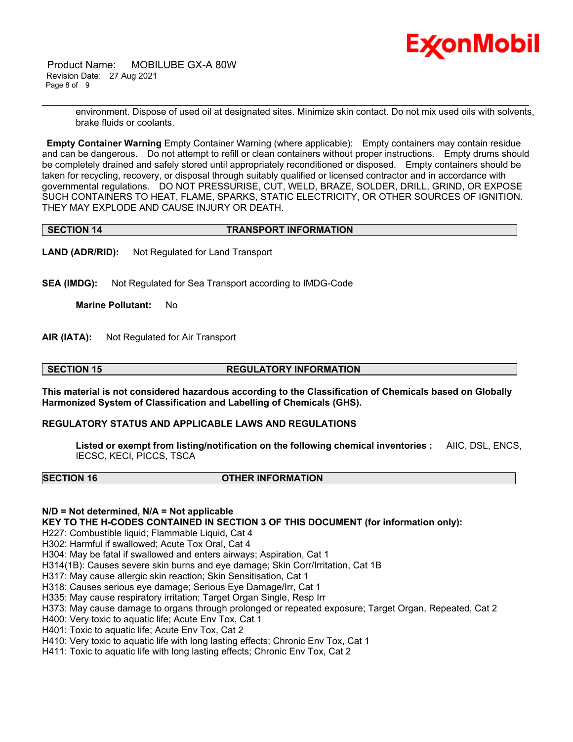

 Product Name: MOBILUBE GX-A 80W Revision Date: 27 Aug 2021 Page 8 of 9

> environment. Dispose of used oil at designated sites. Minimize skin contact. Do not mix used oils with solvents, brake fluids or coolants.

**Empty Container Warning** Empty Container Warning (where applicable): Empty containers may contain residue and can be dangerous. Do not attempt to refill or clean containers without proper instructions. Empty drums should be completely drained and safely stored until appropriately reconditioned or disposed. Empty containers should be taken for recycling, recovery, or disposal through suitably qualified or licensed contractor and in accordance with governmental regulations. DO NOT PRESSURISE, CUT, WELD, BRAZE, SOLDER, DRILL, GRIND, OR EXPOSE SUCH CONTAINERS TO HEAT, FLAME, SPARKS, STATIC ELECTRICITY, OR OTHER SOURCES OF IGNITION. THEY MAY EXPLODE AND CAUSE INJURY OR DEATH.

\_\_\_\_\_\_\_\_\_\_\_\_\_\_\_\_\_\_\_\_\_\_\_\_\_\_\_\_\_\_\_\_\_\_\_\_\_\_\_\_\_\_\_\_\_\_\_\_\_\_\_\_\_\_\_\_\_\_\_\_\_\_\_\_\_\_\_\_\_\_\_\_\_\_\_\_\_\_\_\_\_\_\_\_\_\_\_\_\_\_\_\_\_\_\_\_\_\_\_\_\_\_\_\_\_\_\_\_\_\_\_\_\_\_\_\_\_

| <b>TRANSPORT INFORMATION</b><br><b>SECTION 14</b> |
|---------------------------------------------------|
|---------------------------------------------------|

**LAND (ADR/RID):** Not Regulated for Land Transport

**SEA (IMDG):** Not Regulated for Sea Transport according to IMDG-Code

**Marine Pollutant:** No

**AIR (IATA):** Not Regulated for Air Transport

**SECTION 15 REGULATORY INFORMATION**

**This material is not considered hazardous according to the Classification of Chemicals based on Globally Harmonized System of Classification and Labelling of Chemicals (GHS).**

#### **REGULATORY STATUS AND APPLICABLE LAWS AND REGULATIONS**

**Listed or exempt from listing/notification on the following chemical inventories :** AIIC, DSL, ENCS, IECSC, KECI, PICCS, TSCA

#### **SECTION 16 OTHER INFORMATION**

**N/D = Not determined, N/A = Not applicable**

**KEY TO THE H-CODES CONTAINED IN SECTION 3 OF THIS DOCUMENT (for information only):**

H227: Combustible liquid; Flammable Liquid, Cat 4

H302: Harmful if swallowed; Acute Tox Oral, Cat 4

H304: May be fatal if swallowed and enters airways; Aspiration, Cat 1

H314(1B): Causes severe skin burns and eye damage; Skin Corr/Irritation, Cat 1B

H317: May cause allergic skin reaction; Skin Sensitisation, Cat 1

H318: Causes serious eye damage; Serious Eye Damage/Irr, Cat 1

H335: May cause respiratory irritation; Target Organ Single, Resp Irr

H373: May cause damage to organs through prolonged or repeated exposure; Target Organ, Repeated, Cat 2

H400: Very toxic to aquatic life; Acute Env Tox, Cat 1

H401: Toxic to aquatic life; Acute Env Tox, Cat 2

H410: Very toxic to aquatic life with long lasting effects; Chronic Env Tox, Cat 1

H411: Toxic to aquatic life with long lasting effects; Chronic Env Tox, Cat 2